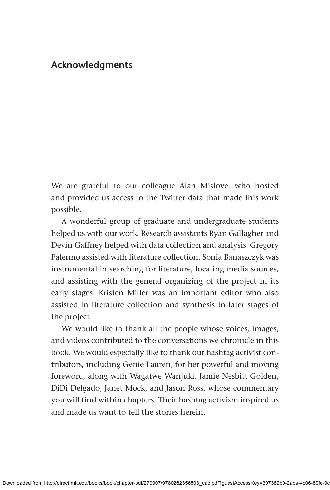## **Acknowledgments**

We are grateful to our colleague Alan Mislove, who hosted and provided us access to the Twitter data that made this work possible.

A wonderful group of graduate and undergraduate students helped us with our work. Research assistants Ryan Gallagher and Devin Gaffney helped with data collection and analysis. Gregory Palermo assisted with literature collection. Sonia Banaszczyk was instrumental in searching for literature, locating media sources, and assisting with the general organizing of the project in its early stages. Kristen Miller was an important editor who also assisted in literature collection and synthesis in later stages of the project.

We would like to thank all the people whose voices, images, and videos contributed to the conversations we chronicle in this book. We would especially like to thank our hashtag activist contributors, including Genie Lauren, for her powerful and moving foreword, along with Wagatwe Wanjuki, Jamie Nesbitt Golden, DiDi Delgado, Janet Mock, and Jason Ross, whose commentary you will find within chapters. Their hashtag activism inspired us and made us want to tell the stories herein.